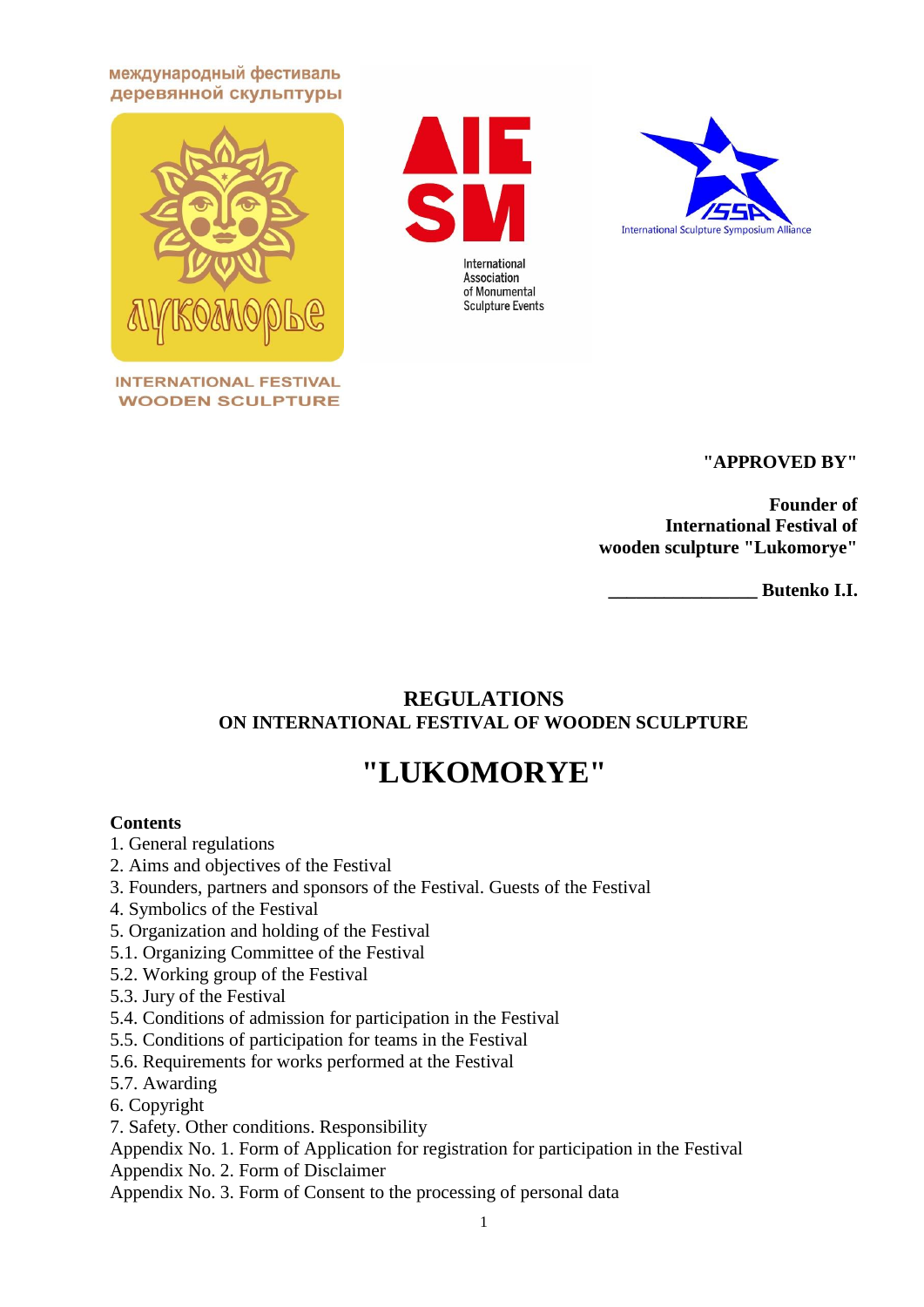международный фестиваль деревянной скульптуры



**INTERNATIONAL FESTIVAL WOODEN SCULPTURE** 





# **"APPROVED BY"**

**Founder of International Festival of wooden sculpture "Lukomorye"**

**\_\_\_\_\_\_\_\_\_\_\_\_\_\_\_\_ Butenko I.I.**

# **REGULATIONS ON INTERNATIONAL FESTIVAL OF WOODEN SCULPTURE**

# **"LUKOMORYE"**

# **Contents**

- 1. General regulations
- 2. Aims and objectives of the Festival
- 3. Founders, partners and sponsors of the Festival. Guests of the Festival
- 4. Symbolics of the Festival
- 5. Organization and holding of the Festival
- 5.1. Organizing Committee of the Festival
- 5.2. Working group of the Festival
- 5.3. Jury of the Festival
- 5.4. Conditions of admission for participation in the Festival
- 5.5. Conditions of participation for teams in the Festival
- 5.6. Requirements for works performed at the Festival
- 5.7. Awarding
- 6. Copyright
- 7. Safety. Other conditions. Responsibility

Appendix No. 1. Form of Application for registration for participation in the Festival

Appendix No. 2. Form of Disclaimer

Appendix No. 3. Form of Consent to the processing of personal data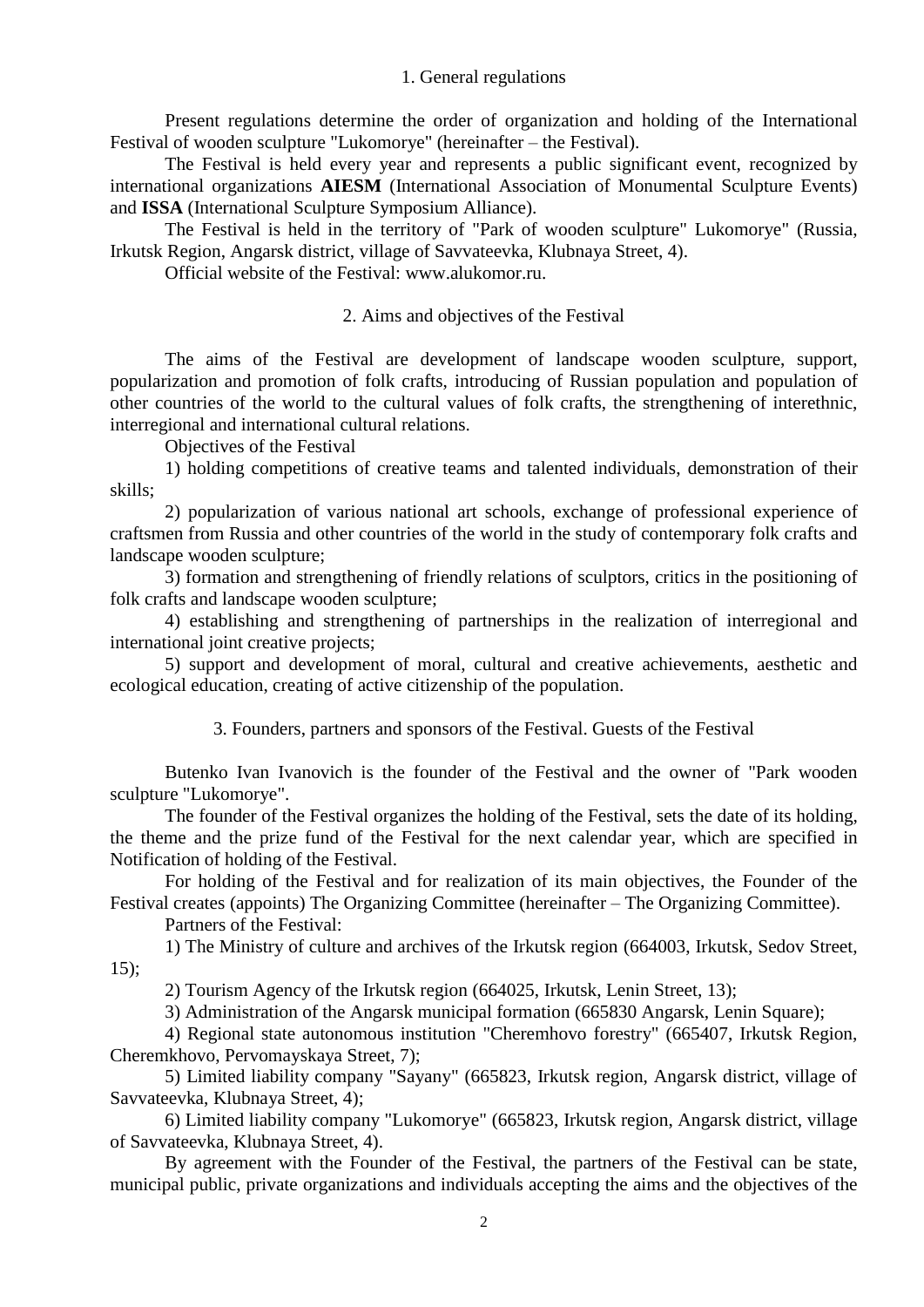#### 1. General regulations

Present regulations determine the order of organization and holding of the International Festival of wooden sculpture "Lukomorye" (hereinafter – the Festival).

The Festival is held every year and represents a public significant event, recognized by international organizations **AIESM** (International Association of Monumental Sculpture Events) and **ISSA** (International Sculpture Symposium Alliance).

The Festival is held in the territory of "Park of wooden sculpture" Lukomorye" (Russia, Irkutsk Region, Angarsk district, village of Savvateevka, Klubnaya Street, 4).

Official website of the Festival: www.alukomor.ru.

#### 2. Aims and objectives of the Festival

The aims of the Festival are development of landscape wooden sculpture, support, popularization and promotion of folk crafts, introducing of Russian population and population of other countries of the world to the cultural values of folk crafts, the strengthening of interethnic, interregional and international cultural relations.

Objectives of the Festival

1) holding competitions of creative teams and talented individuals, demonstration of their skills;

2) popularization of various national art schools, exchange of professional experience of craftsmen from Russia and other countries of the world in the study of contemporary folk crafts and landscape wooden sculpture;

3) formation and strengthening of friendly relations of sculptors, critics in the positioning of folk crafts and landscape wooden sculpture;

4) establishing and strengthening of partnerships in the realization of interregional and international joint creative projects;

5) support and development of moral, cultural and creative achievements, aesthetic and ecological education, creating of active citizenship of the population.

3. Founders, partners and sponsors of the Festival. Guests of the Festival

Butenko Ivan Ivanovich is the founder of the Festival and the owner of "Park wooden sculpture "Lukomorye".

The founder of the Festival organizes the holding of the Festival, sets the date of its holding, the theme and the prize fund of the Festival for the next calendar year, which are specified in Notification of holding of the Festival.

For holding of the Festival and for realization of its main objectives, the Founder of the Festival creates (appoints) The Organizing Committee (hereinafter – The Organizing Committee).

Partners of the Festival:

1) The Ministry of culture and archives of the Irkutsk region (664003, Irkutsk, Sedov Street, 15);

2) Tourism Agency of the Irkutsk region (664025, Irkutsk, Lenin Street, 13);

3) Administration of the Angarsk municipal formation (665830 Angarsk, Lenin Square);

4) Regional state autonomous institution "Cheremhovo forestry" (665407, Irkutsk Region, Cheremkhovo, Pervomayskaya Street, 7);

5) Limited liability company "Sayany" (665823, Irkutsk region, Angarsk district, village of Savvateevka, Klubnaya Street, 4);

6) Limited liability company "Lukomorye" (665823, Irkutsk region, Angarsk district, village of Savvateevka, Klubnaya Street, 4).

By agreement with the Founder of the Festival, the partners of the Festival can be state, municipal public, private organizations and individuals accepting the aims and the objectives of the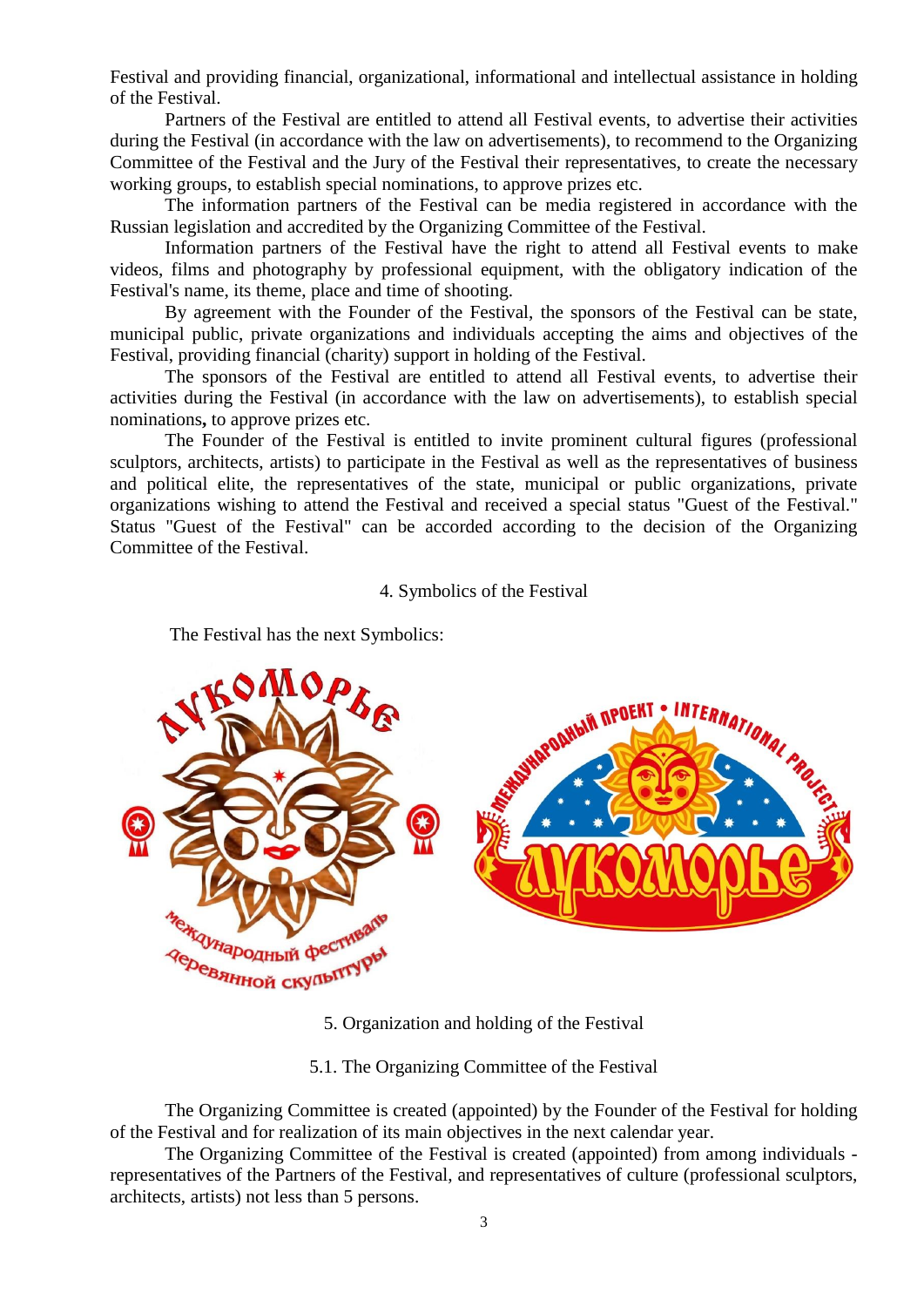Festival and providing financial, organizational, informational and intellectual assistance in holding of the Festival.

Partners of the Festival are entitled to attend all Festival events, to advertise their activities during the Festival (in accordance with the law on advertisements), to recommend to the Organizing Committee of the Festival and the Jury of the Festival their representatives, to create the necessary working groups, to establish special nominations, to approve prizes etc.

The information partners of the Festival can be media registered in accordance with the Russian legislation and accredited by the Organizing Committee of the Festival.

Information partners of the Festival have the right to attend all Festival events to make videos, films and photography by professional equipment, with the obligatory indication of the Festival's name, its theme, place and time of shooting.

By agreement with the Founder of the Festival, the sponsors of the Festival can be state, municipal public, private organizations and individuals accepting the aims and objectives of the Festival, providing financial (charity) support in holding of the Festival.

The sponsors of the Festival are entitled to attend all Festival events, to advertise their activities during the Festival (in accordance with the law on advertisements), to establish special nominations**,** to approve prizes etc.

The Founder of the Festival is entitled to invite prominent cultural figures (professional sculptors, architects, artists) to participate in the Festival as well as the representatives of business and political elite, the representatives of the state, municipal or public organizations, private organizations wishing to attend the Festival and received a special status "Guest of the Festival." Status "Guest of the Festival" can be accorded according to the decision of the Organizing Committee of the Festival.

#### 4. Symbolics of the Festival



The Festival has the next Symbolics:

5. Organization and holding of the Festival

5.1. The Organizing Committee of the Festival

The Organizing Committee is created (appointed) by the Founder of the Festival for holding of the Festival and for realization of its main objectives in the next calendar year.

The Organizing Committee of the Festival is created (appointed) from among individuals representatives of the Partners of the Festival, and representatives of culture (professional sculptors, architects, artists) not less than 5 persons.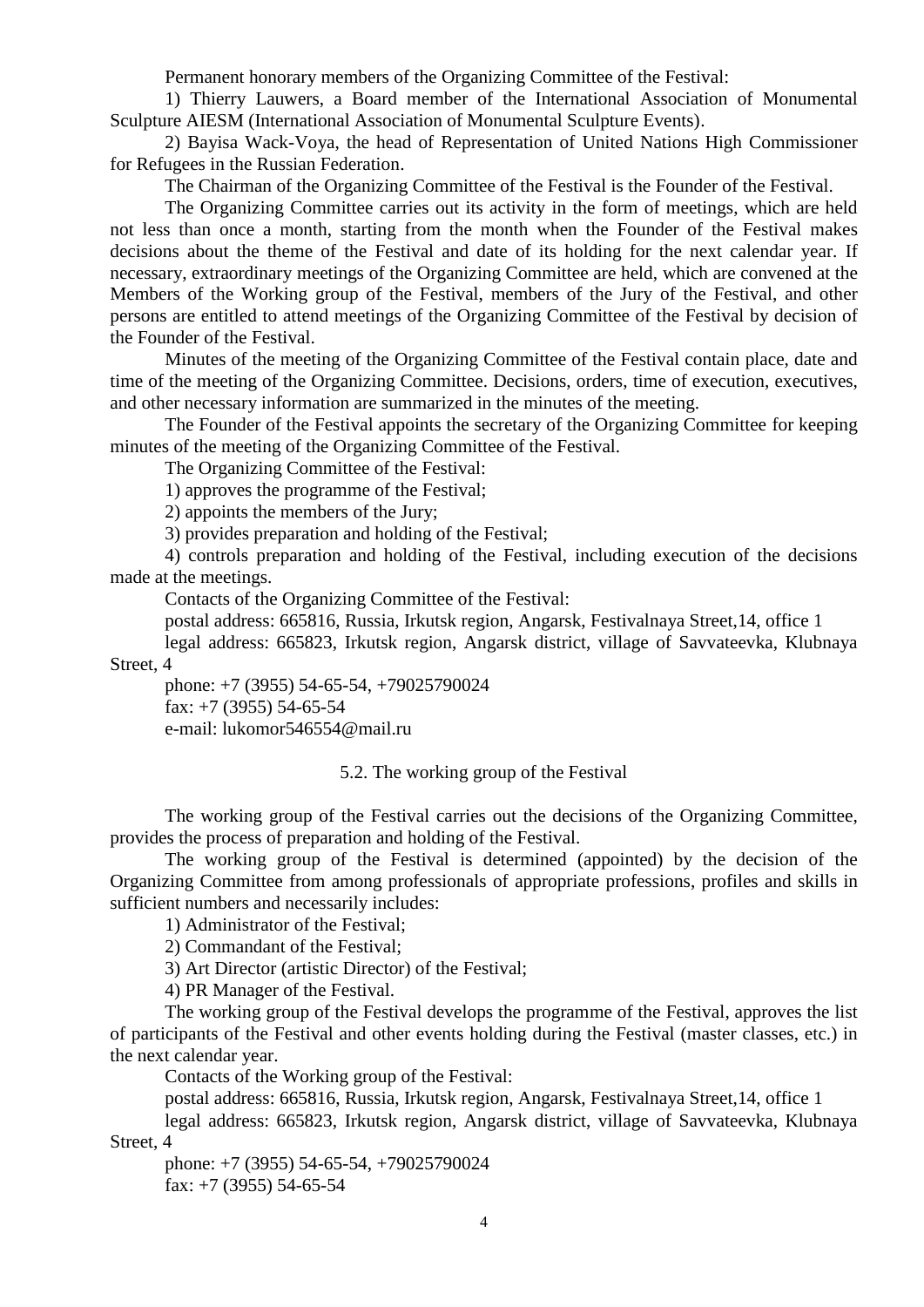Permanent honorary members of the Organizing Committee of the Festival:

1) Thierry Lauwers, a Board member of the International Association of Monumental Sculpture AIESM (International Association of Monumental Sculpture Events).

2) Bayisa Wack-Voya, the head of Representation of United Nations High Commissioner for Refugees in the Russian Federation.

The Chairman of the Organizing Committee of the Festival is the Founder of the Festival.

The Organizing Committee carries out its activity in the form of meetings, which are held not less than once a month, starting from the month when the Founder of the Festival makes decisions about the theme of the Festival and date of its holding for the next calendar year. If necessary, extraordinary meetings of the Organizing Committee are held, which are convened at the Members of the Working group of the Festival, members of the Jury of the Festival, and other persons are entitled to attend meetings of the Organizing Committee of the Festival by decision of the Founder of the Festival.

Minutes of the meeting of the Organizing Committee of the Festival contain place, date and time of the meeting of the Organizing Committee. Decisions, orders, time of execution, executives, and other necessary information are summarized in the minutes of the meeting.

The Founder of the Festival appoints the secretary of the Organizing Committee for keeping minutes of the meeting of the Organizing Committee of the Festival.

The Organizing Committee of the Festival:

1) approves the programme of the Festival;

2) appoints the members of the Jury;

3) provides preparation and holding of the Festival;

4) controls preparation and holding of the Festival, including execution of the decisions made at the meetings.

Contacts of the Organizing Committee of the Festival:

postal address: 665816, Russia, Irkutsk region, Angarsk, Festivalnaya Street,14, office 1

legal address: 665823, Irkutsk region, Angarsk district, village of Savvateevka, Klubnaya

Street, 4

phone: +7 (3955) 54-65-54, +79025790024 fax:  $+7$  (3955) 54-65-54 e-mail: lukomor546554@mail.ru

5.2. The working group of the Festival

The working group of the Festival carries out the decisions of the Organizing Committee, provides the process of preparation and holding of the Festival.

The working group of the Festival is determined (appointed) by the decision of the Organizing Committee from among professionals of appropriate professions, profiles and skills in sufficient numbers and necessarily includes:

1) Administrator of the Festival;

2) Commandant of the Festival;

3) Art Director (artistic Director) of the Festival;

4) PR Manager of the Festival.

The working group of the Festival develops the programme of the Festival, approves the list of participants of the Festival and other events holding during the Festival (master classes, etc.) in the next calendar year.

Contacts of the Working group of the Festival:

postal address: 665816, Russia, Irkutsk region, Angarsk, Festivalnaya Street,14, office 1

legal address: 665823, Irkutsk region, Angarsk district, village of Savvateevka, Klubnaya Street, 4

phone: +7 (3955) 54-65-54, +79025790024 fax:  $+7$  (3955) 54-65-54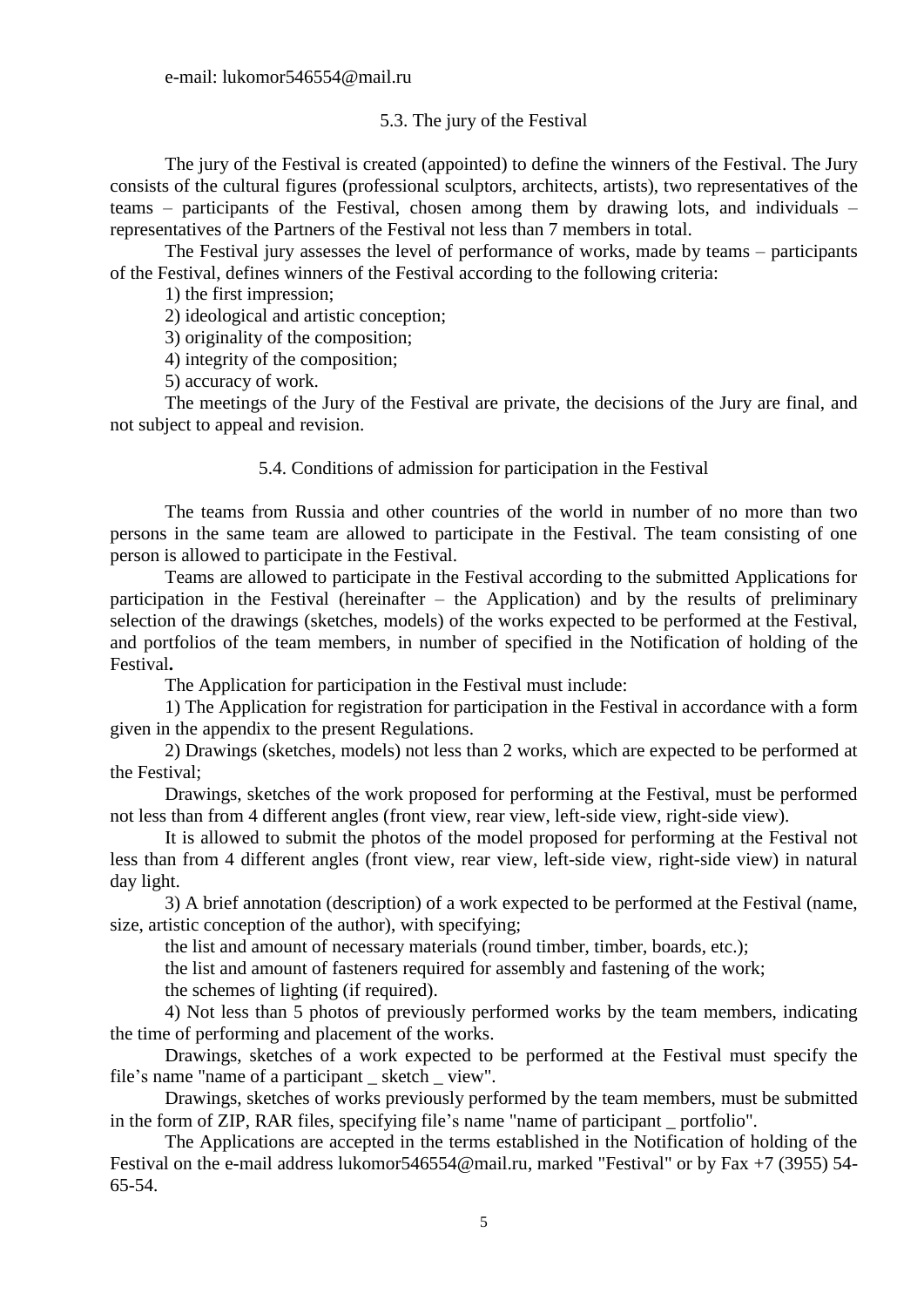e-mail: lukomor546554@mail.ru

# 5.3. The jury of the Festival

The jury of the Festival is created (appointed) to define the winners of the Festival. The Jury consists of the cultural figures (professional sculptors, architects, artists), two representatives of the teams – participants of the Festival, chosen among them by drawing lots, and individuals – representatives of the Partners of the Festival not less than 7 members in total.

The Festival jury assesses the level of performance of works, made by teams – participants of the Festival, defines winners of the Festival according to the following criteria:

1) the first impression;

2) ideological and artistic conception;

3) originality of the composition;

4) integrity of the composition;

5) accuracy of work.

The meetings of the Jury of the Festival are private, the decisions of the Jury are final, and not subject to appeal and revision.

## 5.4. Conditions of admission for participation in the Festival

The teams from Russia and other countries of the world in number of no more than two persons in the same team are allowed to participate in the Festival. The team consisting of one person is allowed to participate in the Festival.

Teams are allowed to participate in the Festival according to the submitted Applications for participation in the Festival (hereinafter – the Application) and by the results of preliminary selection of the drawings (sketches, models) of the works expected to be performed at the Festival, and portfolios of the team members, in number of specified in the Notification of holding of the Festival**.**

The Application for participation in the Festival must include:

1) The Application for registration for participation in the Festival in accordance with a form given in the appendix to the present Regulations.

2) Drawings (sketches, models) not less than 2 works, which are expected to be performed at the Festival;

Drawings, sketches of the work proposed for performing at the Festival, must be performed not less than from 4 different angles (front view, rear view, left-side view, right-side view).

It is allowed to submit the photos of the model proposed for performing at the Festival not less than from 4 different angles (front view, rear view, left-side view, right-side view) in natural day light.

3) A brief annotation (description) of a work expected to be performed at the Festival (name, size, artistic conception of the author), with specifying;

the list and amount of necessary materials (round timber, timber, boards, etc.);

the list and amount of fasteners required for assembly and fastening of the work;

the schemes of lighting (if required).

4) Not less than 5 photos of previously performed works by the team members, indicating the time of performing and placement of the works.

Drawings, sketches of a work expected to be performed at the Festival must specify the file's name "name of a participant \_ sketch \_ view".

Drawings, sketches of works previously performed by the team members, must be submitted in the form of ZIP, RAR files, specifying file's name "name of participant \_ portfolio".

The Applications are accepted in the terms established in the Notification of holding of the Festival on the e-mail address lukomor546554@mail.ru, marked "Festival" or by Fax +7 (3955) 54- 65-54.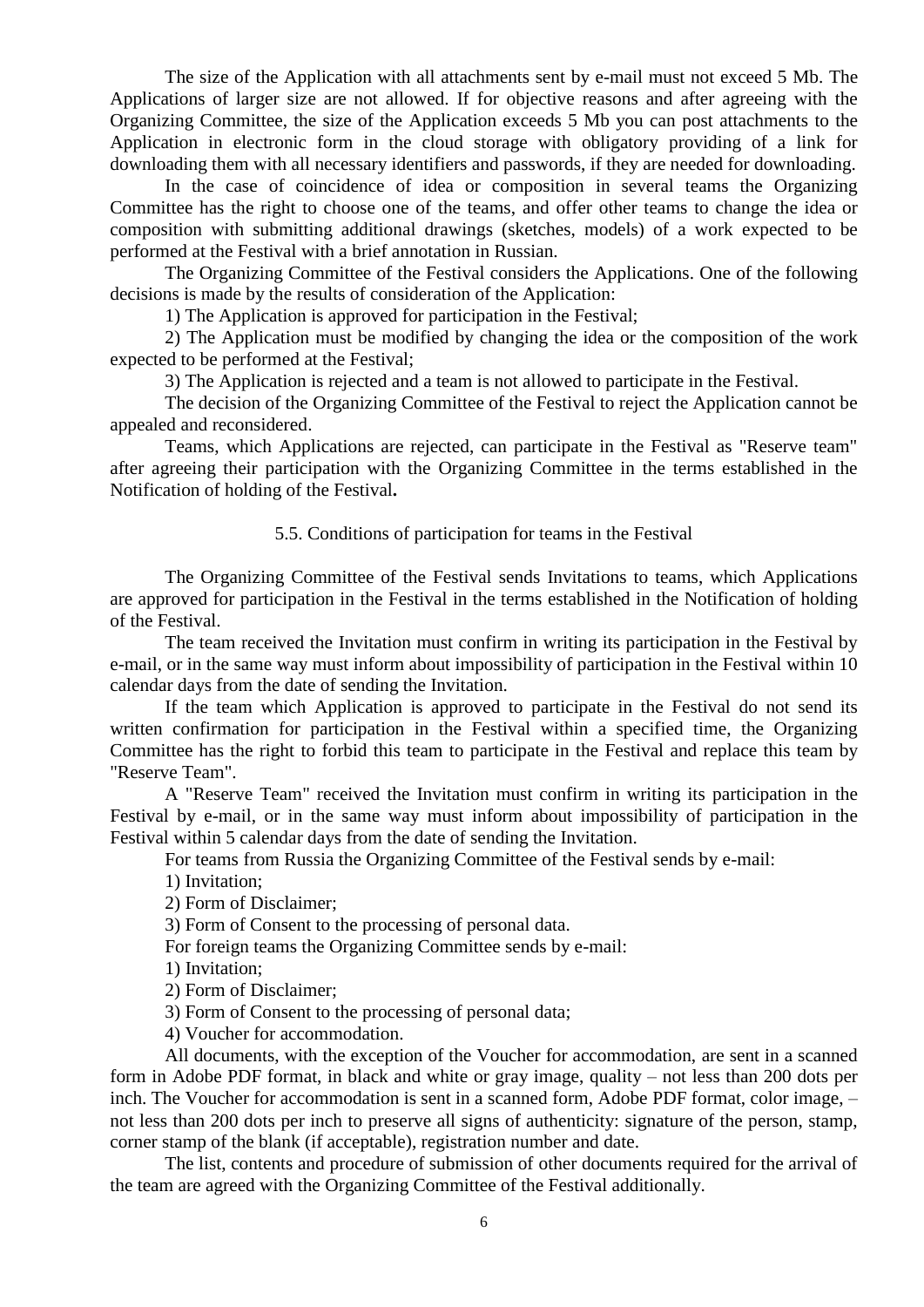The size of the Application with all attachments sent by e-mail must not exceed 5 Mb. The Applications of larger size are not allowed. If for objective reasons and after agreeing with the Organizing Committee, the size of the Application exceeds 5 Mb you can post attachments to the Application in electronic form in the cloud storage with obligatory providing of a link for downloading them with all necessary identifiers and passwords, if they are needed for downloading.

In the case of coincidence of idea or composition in several teams the Organizing Committee has the right to choose one of the teams, and offer other teams to change the idea or composition with submitting additional drawings (sketches, models) of a work expected to be performed at the Festival with a brief annotation in Russian.

The Organizing Committee of the Festival considers the Applications. One of the following decisions is made by the results of consideration of the Application:

1) The Application is approved for participation in the Festival;

2) The Application must be modified by changing the idea or the composition of the work expected to be performed at the Festival;

3) The Application is rejected and a team is not allowed to participate in the Festival.

The decision of the Organizing Committee of the Festival to reject the Application cannot be appealed and reconsidered.

Teams, which Applications are rejected, can participate in the Festival as "Reserve team" after agreeing their participation with the Organizing Committee in the terms established in the Notification of holding of the Festival**.**

#### 5.5. Conditions of participation for teams in the Festival

The Organizing Committee of the Festival sends Invitations to teams, which Applications are approved for participation in the Festival in the terms established in the Notification of holding of the Festival.

The team received the Invitation must confirm in writing its participation in the Festival by e-mail, or in the same way must inform about impossibility of participation in the Festival within 10 calendar days from the date of sending the Invitation.

If the team which Application is approved to participate in the Festival do not send its written confirmation for participation in the Festival within a specified time, the Organizing Committee has the right to forbid this team to participate in the Festival and replace this team by "Reserve Team".

A "Reserve Team" received the Invitation must confirm in writing its participation in the Festival by e-mail, or in the same way must inform about impossibility of participation in the Festival within 5 calendar days from the date of sending the Invitation.

For teams from Russia the Organizing Committee of the Festival sends by e-mail:

1) Invitation;

2) Form of Disclaimer;

3) Form of Consent to the processing of personal data.

For foreign teams the Organizing Committee sends by e-mail:

1) Invitation;

2) Form of Disclaimer;

3) Form of Consent to the processing of personal data;

4) Voucher for accommodation.

All documents, with the exception of the Voucher for accommodation, are sent in a scanned form in Adobe PDF format, in black and white or gray image, quality – not less than 200 dots per inch. The Voucher for accommodation is sent in a scanned form, Adobe PDF format, color image, – not less than 200 dots per inch to preserve all signs of authenticity: signature of the person, stamp, corner stamp of the blank (if acceptable), registration number and date.

The list, contents and procedure of submission of other documents required for the arrival of the team are agreed with the Organizing Committee of the Festival additionally.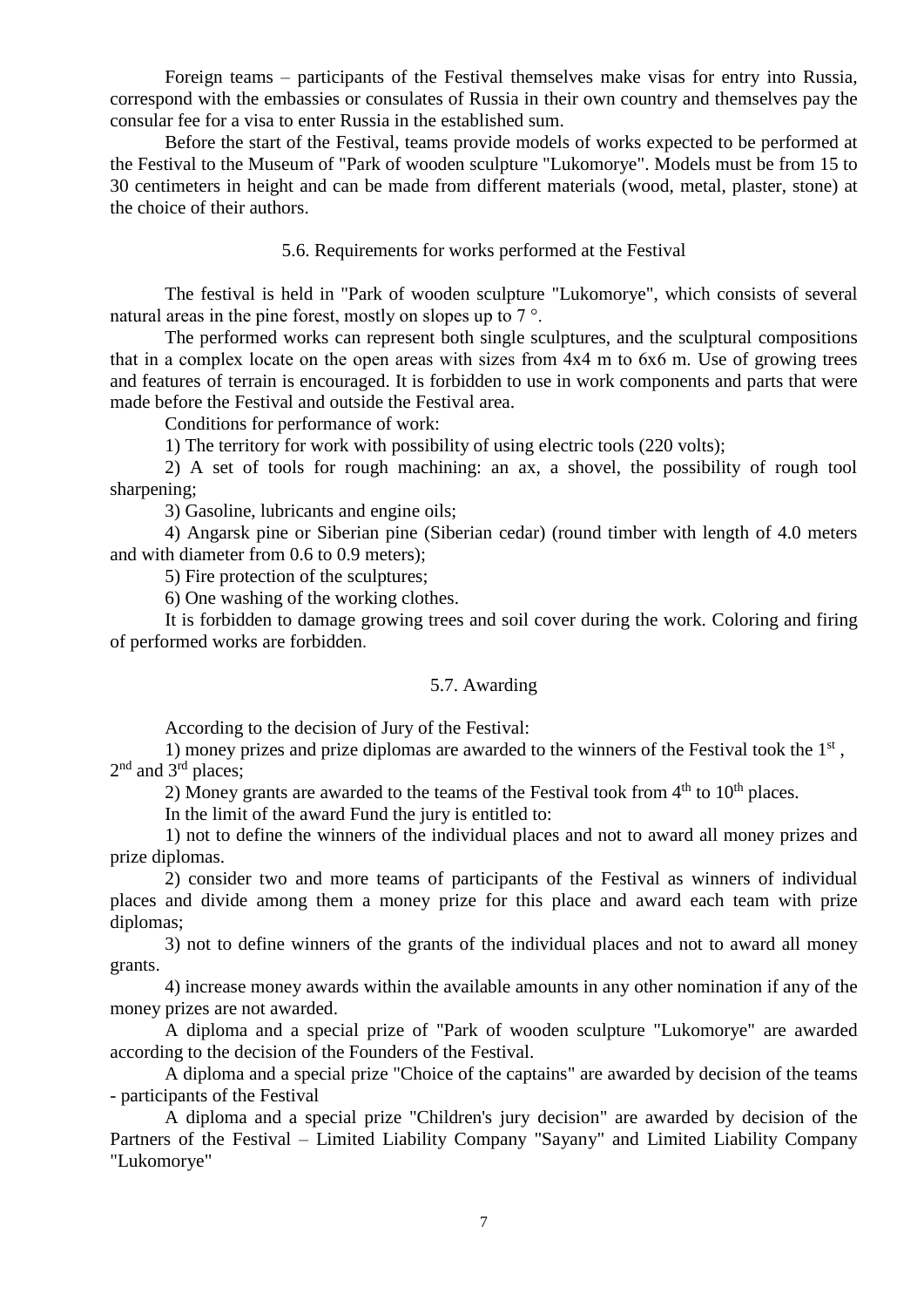Foreign teams – participants of the Festival themselves make visas for entry into Russia, correspond with the embassies or consulates of Russia in their own country and themselves pay the consular fee for a visa to enter Russia in the established sum.

Before the start of the Festival, teams provide models of works expected to be performed at the Festival to the Museum of "Park of wooden sculpture "Lukomorye". Models must be from 15 to 30 centimeters in height and can be made from different materials (wood, metal, plaster, stone) at the choice of their authors.

#### 5.6. Requirements for works performed at the Festival

The festival is held in "Park of wooden sculpture "Lukomorye", which consists of several natural areas in the pine forest, mostly on slopes up to  $7^{\circ}$ .

The performed works can represent both single sculptures, and the sculptural compositions that in a complex locate on the open areas with sizes from 4х4 m to 6х6 m. Use of growing trees and features of terrain is encouraged. It is forbidden to use in work components and parts that were made before the Festival and outside the Festival area.

Conditions for performance of work:

1) The territory for work with possibility of using electric tools (220 volts);

2) A set of tools for rough machining: an ax, a shovel, the possibility of rough tool sharpening;

3) Gasoline, lubricants and engine oils;

4) Angarsk pine or Siberian pine (Siberian cedar) (round timber with length of 4.0 meters and with diameter from 0.6 to 0.9 meters);

5) Fire protection of the sculptures;

6) One washing of the working clothes.

It is forbidden to damage growing trees and soil cover during the work. Coloring and firing of performed works are forbidden.

#### 5.7. Awarding

According to the decision of Jury of the Festival:

1) money prizes and prize diplomas are awarded to the winners of the Festival took the  $1<sup>st</sup>$ , 2<sup>nd</sup> and 3<sup>rd</sup> places;

2) Money grants are awarded to the teams of the Festival took from  $4<sup>th</sup>$  to  $10<sup>th</sup>$  places.

In the limit of the award Fund the jury is entitled to:

1) not to define the winners of the individual places and not to award all money prizes and prize diplomas.

2) consider two and more teams of participants of the Festival as winners of individual places and divide among them a money prize for this place and award each team with prize diplomas;

3) not to define winners of the grants of the individual places and not to award all money grants.

4) increase money awards within the available amounts in any other nomination if any of the money prizes are not awarded.

A diploma and a special prize of "Park of wooden sculpture "Lukomorye" are awarded according to the decision of the Founders of the Festival.

A diploma and a special prize "Choice of the captains" are awarded by decision of the teams - participants of the Festival

A diploma and a special prize "Children's jury decision" are awarded by decision of the Partners of the Festival – Limited Liability Company "Sayany" and Limited Liability Company "Lukomorye"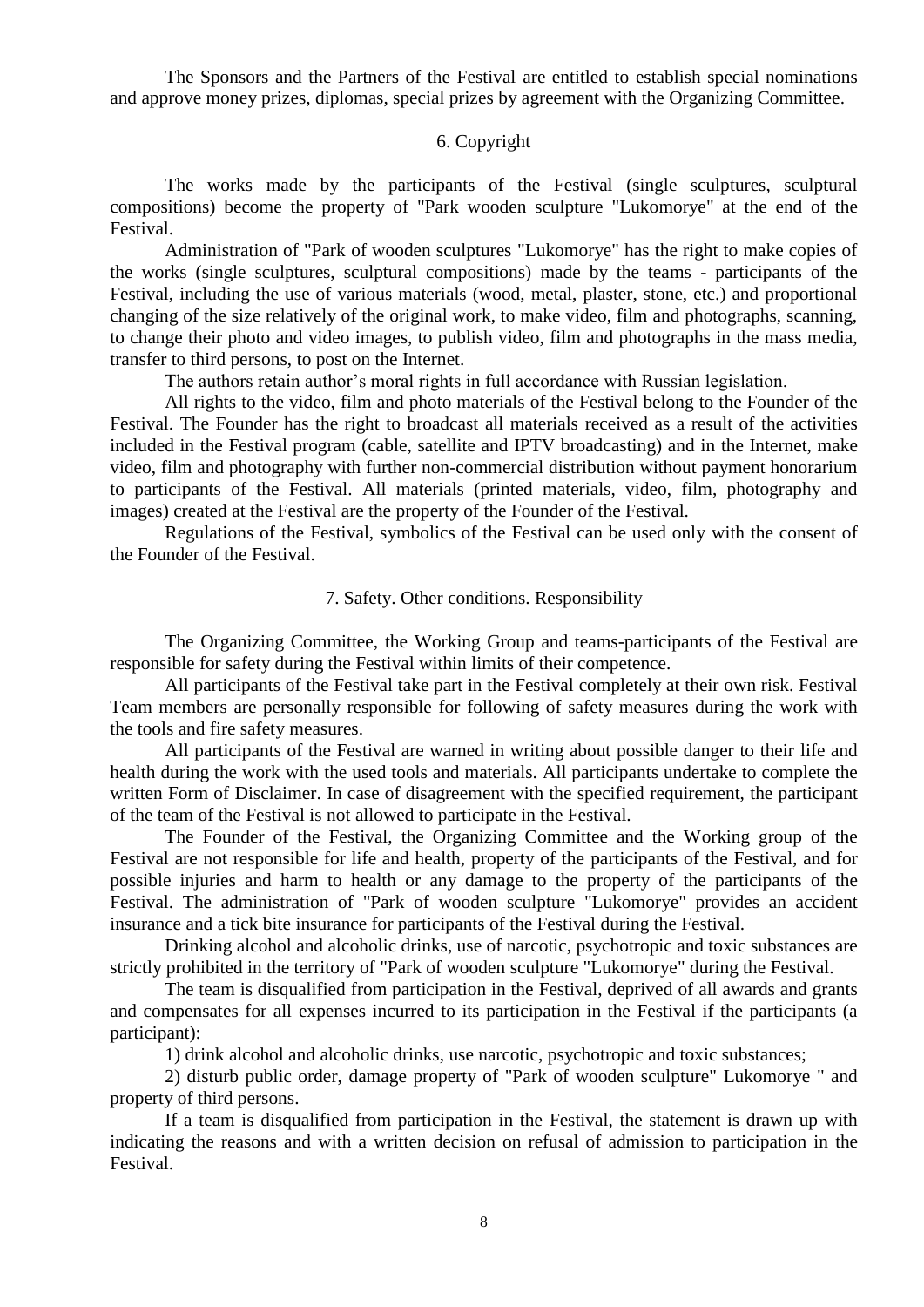The Sponsors and the Partners of the Festival are entitled to establish special nominations and approve money prizes, diplomas, special prizes by agreement with the Organizing Committee.

#### 6. Copyright

The works made by the participants of the Festival (single sculptures, sculptural compositions) become the property of "Park wooden sculpture "Lukomorye" at the end of the Festival.

Administration of "Park of wooden sculptures "Lukomorye" has the right to make copies of the works (single sculptures, sculptural compositions) made by the teams - participants of the Festival, including the use of various materials (wood, metal, plaster, stone, etc.) and proportional changing of the size relatively of the original work, to make video, film and photographs, scanning, to change their photo and video images, to publish video, film and photographs in the mass media, transfer to third persons, to post on the Internet.

The authors retain author's moral rights in full accordance with Russian legislation.

All rights to the video, film and photo materials of the Festival belong to the Founder of the Festival. The Founder has the right to broadcast all materials received as a result of the activities included in the Festival program (cable, satellite and IPTV broadcasting) and in the Internet, make video, film and photography with further non-commercial distribution without payment honorarium to participants of the Festival. All materials (printed materials, video, film, photography and images) created at the Festival are the property of the Founder of the Festival.

Regulations of the Festival, symbolics of the Festival can be used only with the consent of the Founder of the Festival.

#### 7. Safety. Other conditions. Responsibility

The Organizing Committee, the Working Group and teams-participants of the Festival are responsible for safety during the Festival within limits of their competence.

All participants of the Festival take part in the Festival completely at their own risk. Festival Team members are personally responsible for following of safety measures during the work with the tools and fire safety measures.

All participants of the Festival are warned in writing about possible danger to their life and health during the work with the used tools and materials. All participants undertake to complete the written Form of Disclaimer. In case of disagreement with the specified requirement, the participant of the team of the Festival is not allowed to participate in the Festival.

The Founder of the Festival, the Organizing Committee and the Working group of the Festival are not responsible for life and health, property of the participants of the Festival, and for possible injuries and harm to health or any damage to the property of the participants of the Festival. The administration of "Park of wooden sculpture "Lukomorye" provides an accident insurance and a tick bite insurance for participants of the Festival during the Festival.

Drinking alcohol and alcoholic drinks, use of narcotic, psychotropic and toxic substances are strictly prohibited in the territory of "Park of wooden sculpture "Lukomorye" during the Festival.

The team is disqualified from participation in the Festival, deprived of all awards and grants and compensates for all expenses incurred to its participation in the Festival if the participants (a participant):

1) drink alcohol and alcoholic drinks, use narcotic, psychotropic and toxic substances;

2) disturb public order, damage property of "Park of wooden sculpture" Lukomorye " and property of third persons.

If a team is disqualified from participation in the Festival, the statement is drawn up with indicating the reasons and with a written decision on refusal of admission to participation in the Festival.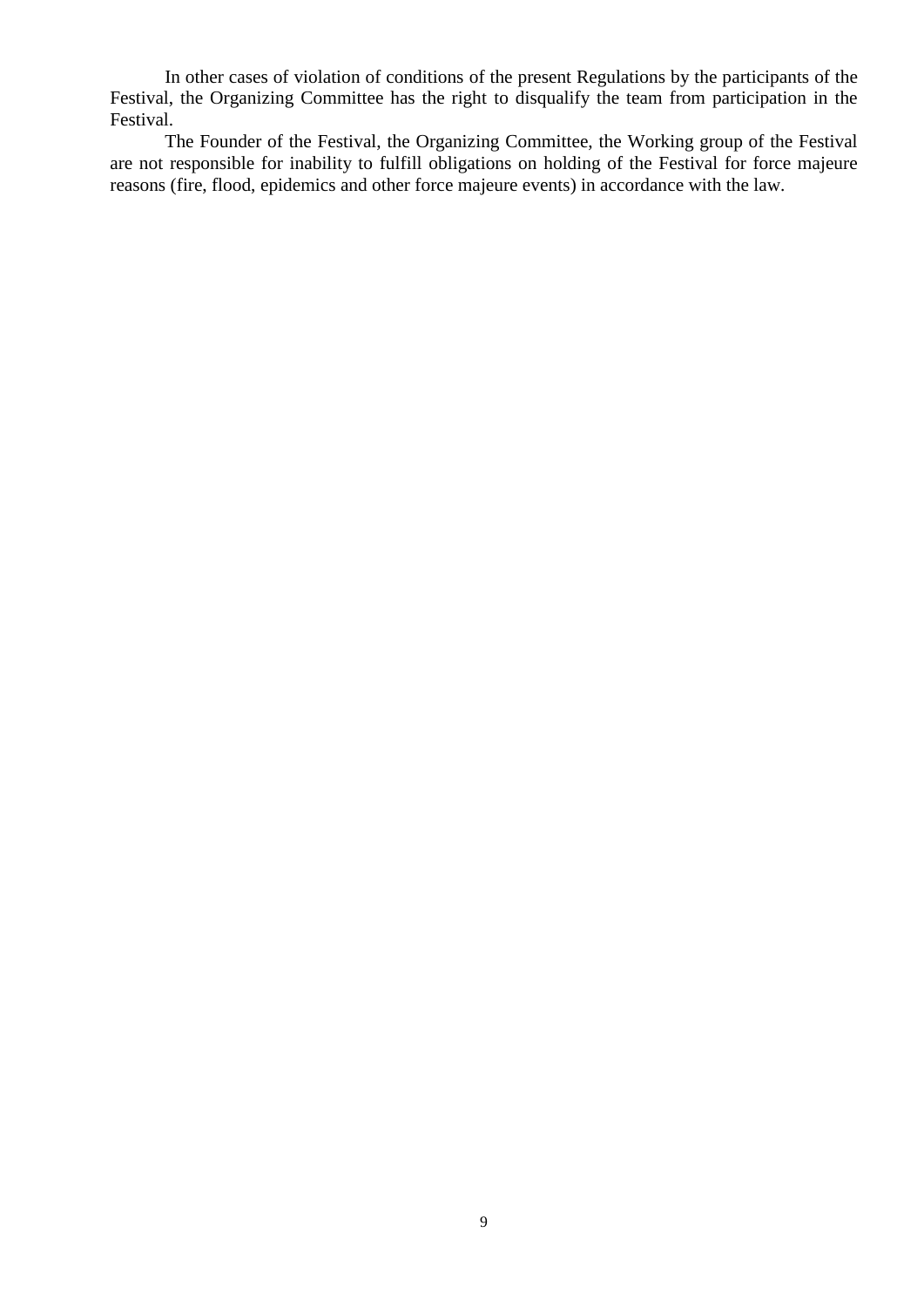In other cases of violation of conditions of the present Regulations by the participants of the Festival, the Organizing Committee has the right to disqualify the team from participation in the Festival.

The Founder of the Festival, the Organizing Committee, the Working group of the Festival are not responsible for inability to fulfill obligations on holding of the Festival for force majeure reasons (fire, flood, epidemics and other force majeure events) in accordance with the law.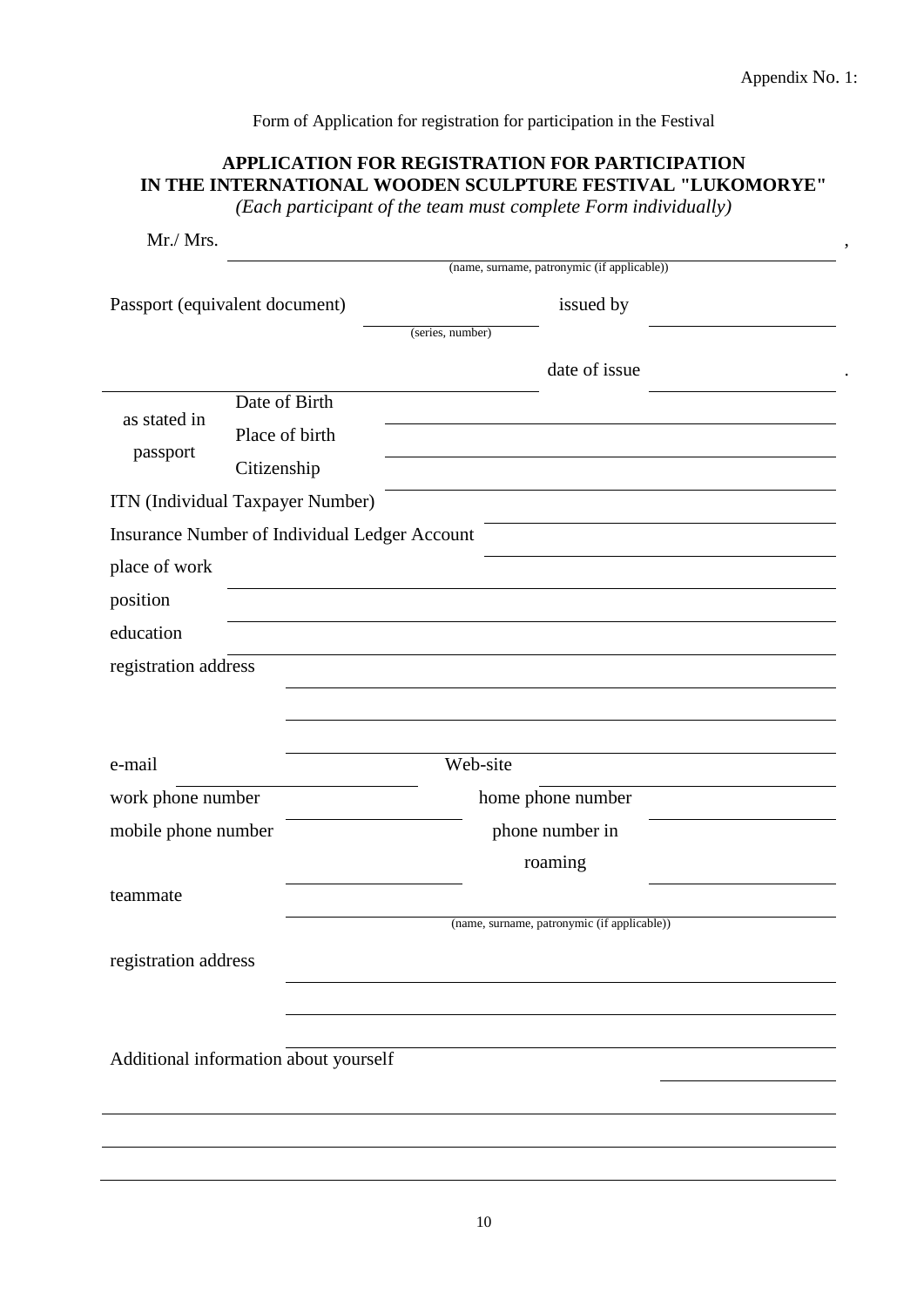Form of Application for registration for participation in the Festival

# **APPLICATION FOR REGISTRATION FOR PARTICIPATION IN THE INTERNATIONAL WOODEN SCULPTURE FESTIVAL "LUKOMORYE"**

*(Each participant of the team must complete Form individually)*

| Mr./ Mrs.                        |                                               |                                             |  |  |  |
|----------------------------------|-----------------------------------------------|---------------------------------------------|--|--|--|
|                                  |                                               | (name, surname, patronymic (if applicable)) |  |  |  |
|                                  | Passport (equivalent document)                | issued by                                   |  |  |  |
|                                  |                                               | (series, number)                            |  |  |  |
|                                  |                                               | date of issue                               |  |  |  |
|                                  | Date of Birth                                 |                                             |  |  |  |
| as stated in                     | Place of birth                                |                                             |  |  |  |
| passport                         | Citizenship                                   |                                             |  |  |  |
| ITN (Individual Taxpayer Number) |                                               |                                             |  |  |  |
|                                  | Insurance Number of Individual Ledger Account |                                             |  |  |  |
| place of work                    |                                               |                                             |  |  |  |
| position                         |                                               |                                             |  |  |  |
| education                        |                                               |                                             |  |  |  |
| registration address             |                                               |                                             |  |  |  |
|                                  |                                               |                                             |  |  |  |
|                                  |                                               |                                             |  |  |  |
| e-mail                           | Web-site                                      |                                             |  |  |  |
| work phone number                |                                               | home phone number                           |  |  |  |
| mobile phone number              |                                               | phone number in                             |  |  |  |
|                                  |                                               | roaming                                     |  |  |  |
| teammate                         |                                               |                                             |  |  |  |
|                                  |                                               | (name, surname, patronymic (if applicable)) |  |  |  |
| registration address             |                                               |                                             |  |  |  |
|                                  |                                               |                                             |  |  |  |
|                                  |                                               |                                             |  |  |  |
|                                  | Additional information about yourself         |                                             |  |  |  |
|                                  |                                               |                                             |  |  |  |
|                                  |                                               |                                             |  |  |  |
|                                  |                                               |                                             |  |  |  |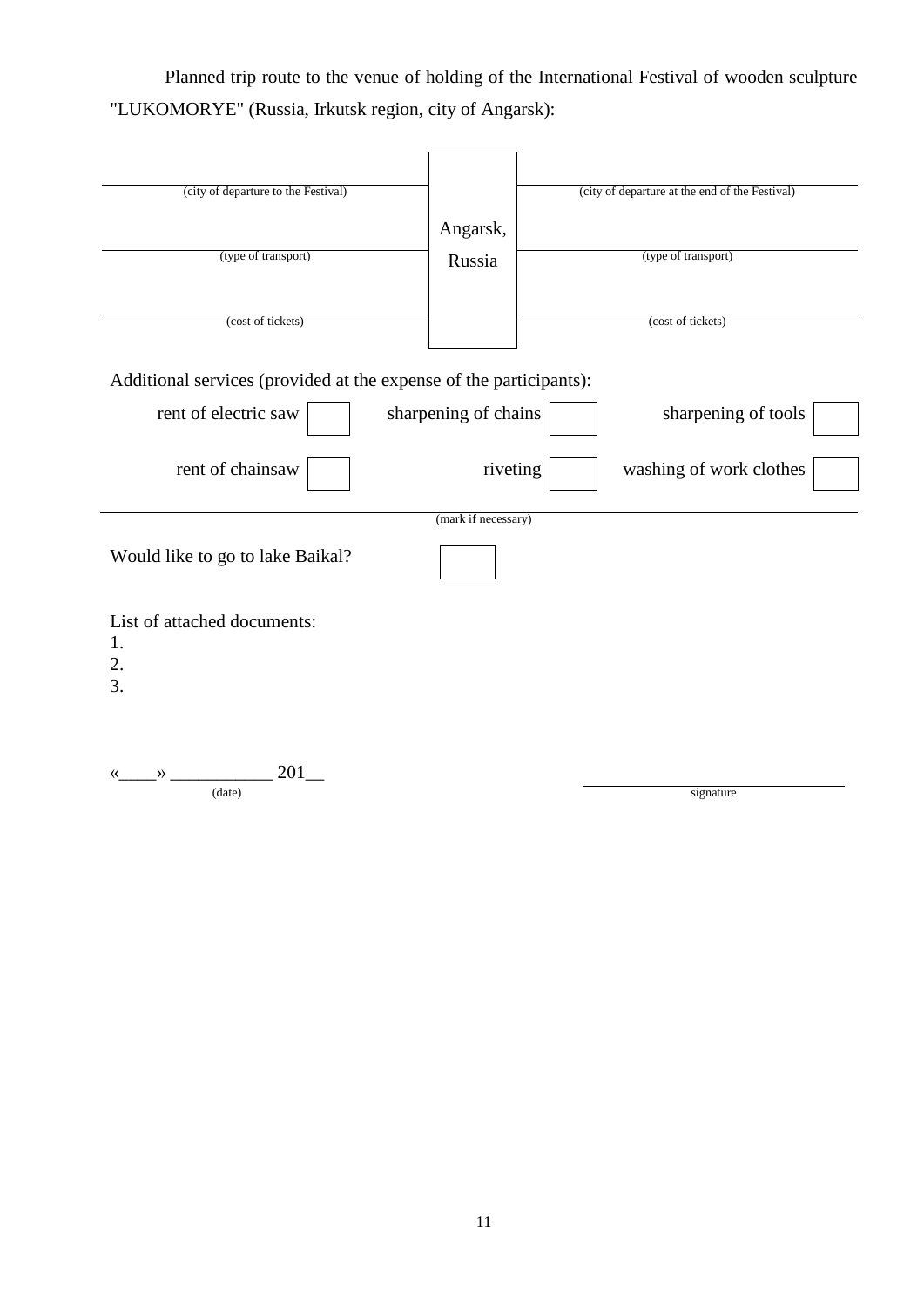Planned trip route to the venue of holding of the International Festival of wooden sculpture "LUKOMORYE" (Russia, Irkutsk region, city of Angarsk):

| (city of departure to the Festival)                                |                      | (city of departure at the end of the Festival) |
|--------------------------------------------------------------------|----------------------|------------------------------------------------|
|                                                                    | Angarsk,             |                                                |
| (type of transport)                                                | Russia               | (type of transport)                            |
| (cost of tickets)                                                  |                      | (cost of tickets)                              |
|                                                                    |                      |                                                |
| Additional services (provided at the expense of the participants): |                      |                                                |
| rent of electric saw                                               | sharpening of chains | sharpening of tools                            |
| rent of chainsaw                                                   | riveting             | washing of work clothes                        |
|                                                                    | (mark if necessary)  |                                                |
| Would like to go to lake Baikal?                                   |                      |                                                |
| List of attached documents:<br>1.<br>2.<br>3.                      |                      |                                                |
| 201<br>Y)<br>(date)                                                |                      | signature                                      |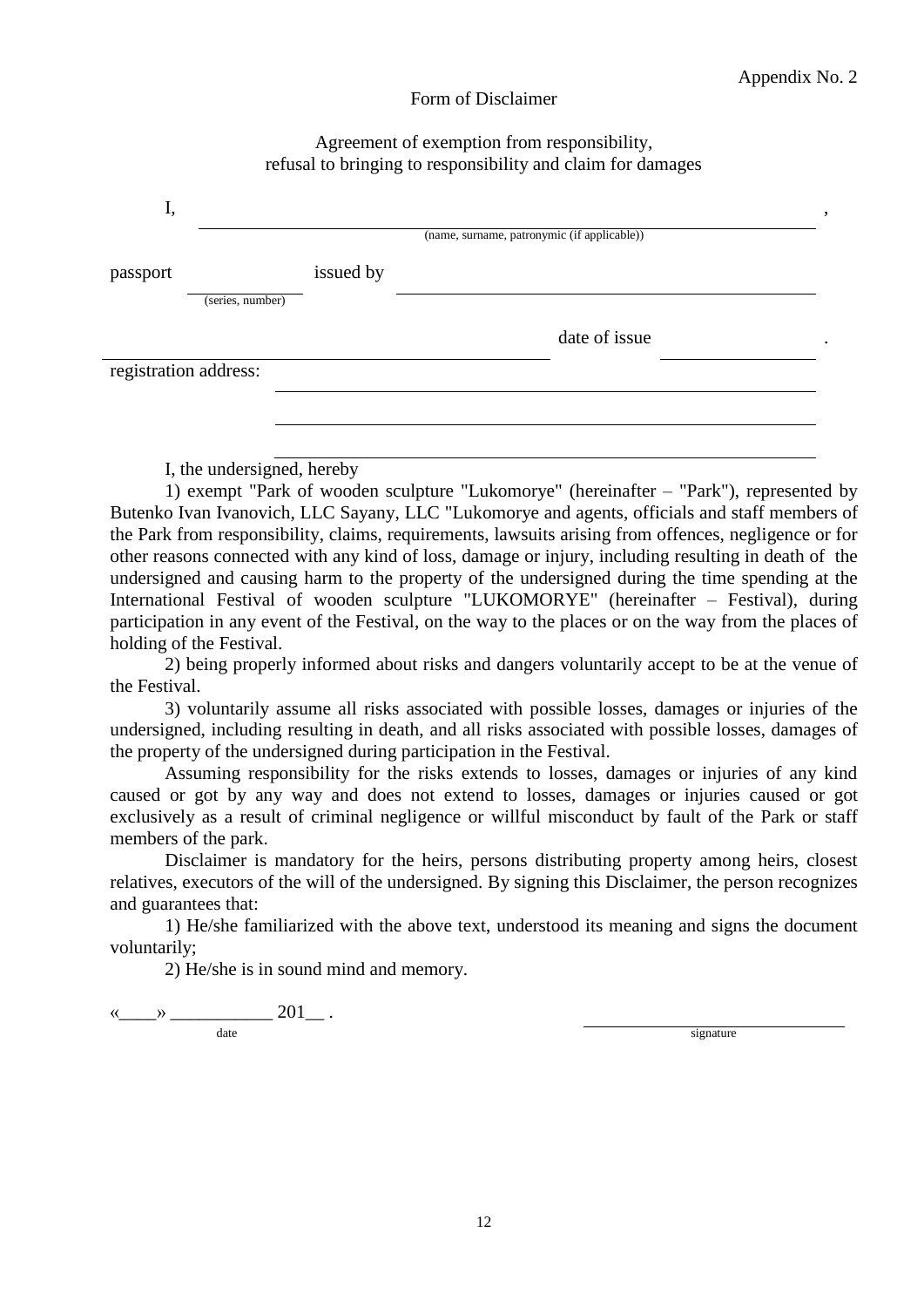#### Form of Disclaimer

#### Agreement of exemption from responsibility, refusal to bringing to responsibility and claim for damages

| I,       |                       |           | (name, surname, patronymic (if applicable)) |  |
|----------|-----------------------|-----------|---------------------------------------------|--|
| passport | (series, number)      | issued by |                                             |  |
|          |                       |           | date of issue                               |  |
|          | registration address: |           |                                             |  |

I, the undersigned, hereby

1) exempt "Park of wooden sculpture "Lukomorye" (hereinafter – "Park"), represented by Butenko Ivan Ivanovich, LLC Sayany, LLC "Lukomorye and agents, officials and staff members of the Park from responsibility, claims, requirements, lawsuits arising from offences, negligence or for other reasons connected with any kind of loss, damage or injury, including resulting in death of the undersigned and causing harm to the property of the undersigned during the time spending at the International Festival of wooden sculpture "LUKOMORYE" (hereinafter – Festival), during participation in any event of the Festival, on the way to the places or on the way from the places of holding of the Festival.

2) being properly informed about risks and dangers voluntarily accept to be at the venue of the Festival.

3) voluntarily assume all risks associated with possible losses, damages or injuries of the undersigned, including resulting in death, and all risks associated with possible losses, damages of the property of the undersigned during participation in the Festival.

Assuming responsibility for the risks extends to losses, damages or injuries of any kind caused or got by any way and does not extend to losses, damages or injuries caused or got exclusively as a result of criminal negligence or willful misconduct by fault of the Park or staff members of the park.

Disclaimer is mandatory for the heirs, persons distributing property among heirs, closest relatives, executors of the will of the undersigned. By signing this Disclaimer, the person recognizes and guarantees that:

1) He/she familiarized with the above text, understood its meaning and signs the document voluntarily;

2) He/she is in sound mind and memory.

« $\qquad \qquad \qquad \qquad 201 \qquad .$ date signature signature signature signature signature signature signature signature